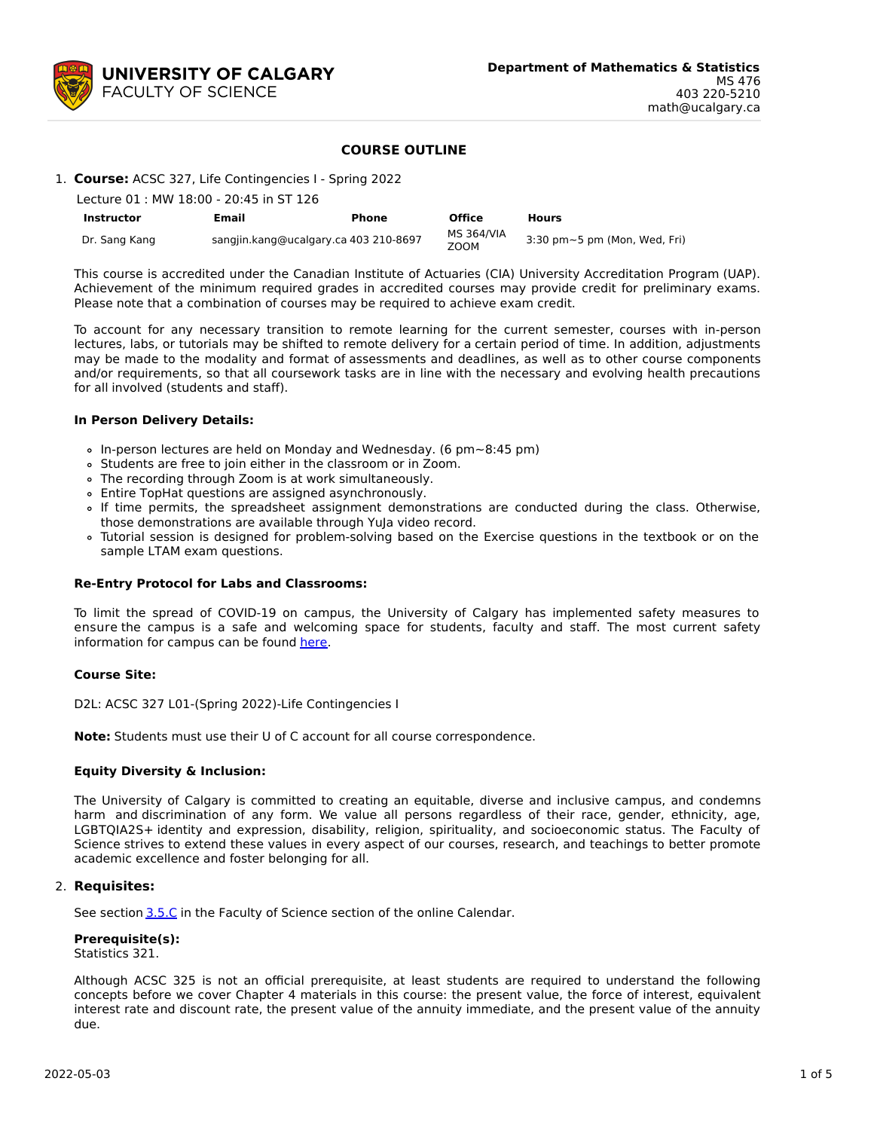

## **COURSE OUTLINE**

1. **Course:** ACSC 327, Life Contingencies I - Spring 2022

| Lecture 01 : MW 18:00 - 20:45 in ST 126 |                                       |              |                           |                                       |
|-----------------------------------------|---------------------------------------|--------------|---------------------------|---------------------------------------|
| <b>Instructor</b>                       | Email                                 | <b>Phone</b> | <b>Office</b>             | <b>Hours</b>                          |
| Dr. Sang Kang                           | sangjin.kang@ucalgary.ca 403 210-8697 |              | <b>MS 364/VIA</b><br>ZOOM | $3:30$ pm $\sim$ 5 pm (Mon, Wed, Fri) |

This course is accredited under the Canadian Institute of Actuaries (CIA) University Accreditation Program (UAP). Achievement of the minimum required grades in accredited courses may provide credit for preliminary exams. Please note that a combination of courses may be required to achieve exam credit.

To account for any necessary transition to remote learning for the current semester, courses with in-person lectures, labs, or tutorials may be shifted to remote delivery for a certain period of time. In addition, adjustments may be made to the modality and format of assessments and deadlines, as well as to other course components and/or requirements, so that all coursework tasks are in line with the necessary and evolving health precautions for all involved (students and staff).

#### **In Person Delivery Details:**

- In-person lectures are held on Monday and Wednesday. (6 pm~8:45 pm)
- Students are free to join either in the classroom or in Zoom.
- The recording through Zoom is at work simultaneously.
- Entire TopHat questions are assigned asynchronously.
- If time permits, the spreadsheet assignment demonstrations are conducted during the class. Otherwise, those demonstrations are available through YuJa video record.
- Tutorial session is designed for problem-solving based on the Exercise questions in the textbook or on the sample LTAM exam questions.

## **Re-Entry Protocol for Labs and Classrooms:**

To limit the spread of COVID-19 on campus, the University of Calgary has implemented safety measures to ensure the campus is a safe and welcoming space for students, faculty and staff. The most current safety information for campus can be found [here](https://www.ucalgary.ca/risk/emergency-management/covid-19-response/return-campus-safety).

## **Course Site:**

D2L: ACSC 327 L01-(Spring 2022)-Life Contingencies I

**Note:** Students must use their U of C account for all course correspondence.

## **Equity Diversity & Inclusion:**

The University of Calgary is committed to creating an equitable, diverse and inclusive campus, and condemns harm and discrimination of any form. We value all persons regardless of their race, gender, ethnicity, age, LGBTQIA2S+ identity and expression, disability, religion, spirituality, and socioeconomic status. The Faculty of Science strives to extend these values in every aspect of our courses, research, and teachings to better promote academic excellence and foster belonging for all.

## 2. **Requisites:**

See section [3.5.C](http://www.ucalgary.ca/pubs/calendar/current/sc-3-5.html) in the Faculty of Science section of the online Calendar.

#### **Prerequisite(s):** Statistics 321.

Although ACSC 325 is not an official prerequisite, at least students are required to understand the following concepts before we cover Chapter 4 materials in this course: the present value, the force of interest, equivalent interest rate and discount rate, the present value of the annuity immediate, and the present value of the annuity due.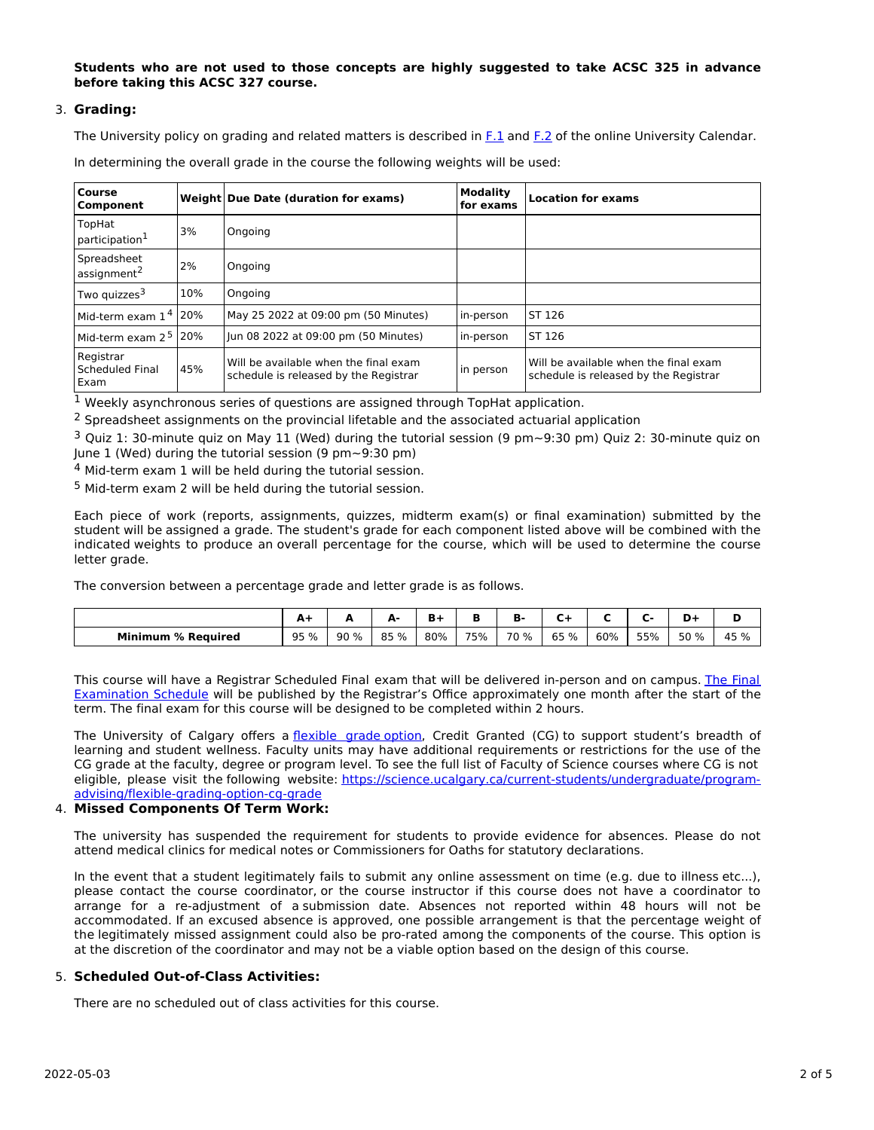**Students who are not used to those concepts are highly suggested to take ACSC 325 in advance before taking this ACSC 327 course.**

## 3. **Grading:**

The University policy on grading and related matters is described in [F.1](http://www.ucalgary.ca/pubs/calendar/current/f-1.html) and [F.2](http://www.ucalgary.ca/pubs/calendar/current/f-2.html) of the online University Calendar.

|  |  | In determining the overall grade in the course the following weights will be used: |  |
|--|--|------------------------------------------------------------------------------------|--|
|--|--|------------------------------------------------------------------------------------|--|

| <b>Course</b><br>Component             |     | Weight Due Date (duration for exams)                                           | <b>Modality</b><br>for exams | <b>Location for exams</b>                                                      |
|----------------------------------------|-----|--------------------------------------------------------------------------------|------------------------------|--------------------------------------------------------------------------------|
| TopHat<br>participation <sup>1</sup>   | 3%  | Ongoing                                                                        |                              |                                                                                |
| Spreadsheet<br>assignment <sup>2</sup> | 2%  | Ongoing                                                                        |                              |                                                                                |
| Two quizzes <sup>3</sup>               | 10% | Ongoing                                                                        |                              |                                                                                |
| Mid-term exam $14$ 20%                 |     | May 25 2022 at 09:00 pm (50 Minutes)                                           | in-person                    | ST 126                                                                         |
| Mid-term exam $25$ 20%                 |     | Jun 08 2022 at 09:00 pm (50 Minutes)                                           | in-person                    | ST 126                                                                         |
| Registrar<br>Scheduled Final<br>Exam   | 45% | Will be available when the final exam<br>schedule is released by the Registrar | in person                    | Will be available when the final exam<br>schedule is released by the Registrar |

<sup>1</sup> Weekly asynchronous series of questions are assigned through TopHat application.

 $<sup>2</sup>$  Spreadsheet assignments on the provincial lifetable and the associated actuarial application</sup>

<sup>3</sup> Quiz 1: 30-minute quiz on May 11 (Wed) during the tutorial session (9 pm~9:30 pm) Quiz 2: 30-minute quiz on June 1 (Wed) during the tutorial session (9  $pm \sim 9:30$  pm)

<sup>4</sup> Mid-term exam 1 will be held during the tutorial session.

<sup>5</sup> Mid-term exam 2 will be held during the tutorial session.

Each piece of work (reports, assignments, quizzes, midterm exam(s) or final examination) submitted by the student will be assigned a grade. The student's grade for each component listed above will be combined with the indicated weights to produce an overall percentage for the course, which will be used to determine the course letter grade.

The conversion between a percentage grade and letter grade is as follows.

|                                   | A.   |      | м.<br>-<br>- - |     |     | ъ.         |         |     |     | D+   |      |
|-----------------------------------|------|------|----------------|-----|-----|------------|---------|-----|-----|------|------|
| <b>Minimum % Required</b><br>____ | 95 % | 90 % | 85 %           | 80% | 75% | 70<br>$\%$ | 65<br>% | 60% | 55% | 50 % | 45 % |

This course will have a Registrar Scheduled Final exam that will be delivered in-person and on campus. The Final Examination Schedule will be published by the Registrar's Office [approximately](https://www.ucalgary.ca/registrar/exams) one month after the start of the term. The final exam for this course will be designed to be completed within 2 hours.

The University of Calgary offers a [flexible](https://www.ucalgary.ca/pubs/calendar/current/f-1-3.html) grade option, Credit Granted (CG) to support student's breadth of learning and student wellness. Faculty units may have additional requirements or restrictions for the use of the CG grade at the faculty, degree or program level. To see the full list of Faculty of Science courses where CG is not eligible, please visit the following website: [https://science.ucalgary.ca/current-students/undergraduate/program](https://science.ucalgary.ca/current-students/undergraduate/program-advising/flexible-grading-option-cg-grade)advising/flexible-grading-option-cg-grade

# 4. **Missed Components Of Term Work:**

The university has suspended the requirement for students to provide evidence for absences. Please do not attend medical clinics for medical notes or Commissioners for Oaths for statutory declarations.

In the event that a student legitimately fails to submit any online assessment on time (e.g. due to illness etc...), please contact the course coordinator, or the course instructor if this course does not have a coordinator to arrange for a re-adjustment of a submission date. Absences not reported within 48 hours will not be accommodated. If an excused absence is approved, one possible arrangement is that the percentage weight of the legitimately missed assignment could also be pro-rated among the components of the course. This option is at the discretion of the coordinator and may not be a viable option based on the design of this course.

## 5. **Scheduled Out-of-Class Activities:**

There are no scheduled out of class activities for this course.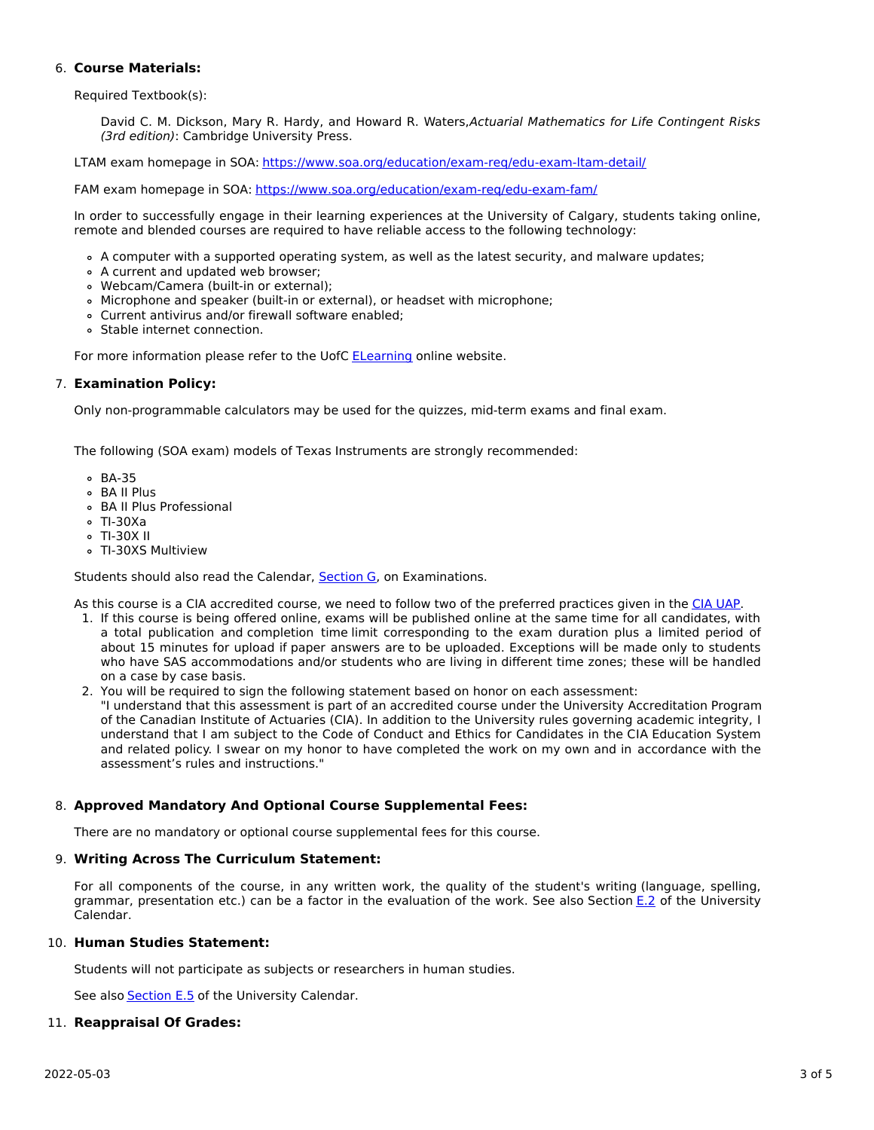## 6. **Course Materials:**

Required Textbook(s):

David C. M. Dickson, Mary R. Hardy, and Howard R. Waters, Actuarial Mathematics for Life Contingent Risks (3rd edition): Cambridge University Press.

LTAM exam homepage in SOA: https://www.soa.org/education/exam-reg/edu-exam-ltam-detail/

FAM exam homepage in SOA: <https://www.soa.org/education/exam-req/edu-exam-fam/>

In order to successfully engage in their learning experiences at the University of Calgary, students taking online, remote and blended courses are required to have reliable access to the following technology:

- A computer with a supported operating system, as well as the latest security, and malware updates;
- A current and updated web browser;
- Webcam/Camera (built-in or external);
- Microphone and speaker (built-in or external), or headset with microphone;
- Current antivirus and/or firewall software enabled;
- Stable internet connection.

For more information please refer to the UofC **[ELearning](https://elearn.ucalgary.ca/technology-requirements-for-students)** online website.

## 7. **Examination Policy:**

Only non-programmable calculators may be used for the quizzes, mid-term exams and final exam.

The following (SOA exam) models of Texas Instruments are strongly recommended:

- BA-35
- BA II Plus
- BA II Plus Professional
- TI-30Xa
- TI-30X II
- TI-30XS Multiview

Students should also read the Calendar, [Section](http://www.ucalgary.ca/pubs/calendar/current/g.html) G, on Examinations.

As this course is a CIA accredited course, we need to follow two of the preferred practices given in the CIA [UAP](https://www.cia-ica.ca/docs/default-source/2020/220117e.pdf).

- 1. If this course is being offered online, exams will be published online at the same time for all candidates, with a total publication and completion time limit corresponding to the exam duration plus a limited period of about 15 minutes for upload if paper answers are to be uploaded. Exceptions will be made only to students who have SAS accommodations and/or students who are living in different time zones; these will be handled on a case by case basis.
- 2. You will be required to sign the following statement based on honor on each assessment: "I understand that this assessment is part of an accredited course under the University Accreditation Program of the Canadian Institute of Actuaries (CIA). In addition to the University rules governing academic integrity, I understand that I am subject to the Code of Conduct and Ethics for Candidates in the CIA Education System and related policy. I swear on my honor to have completed the work on my own and in accordance with the assessment's rules and instructions."

# 8. **Approved Mandatory And Optional Course Supplemental Fees:**

There are no mandatory or optional course supplemental fees for this course.

## 9. **Writing Across The Curriculum Statement:**

For all components of the course, in any written work, the quality of the student's writing (language, spelling, grammar, presentation etc.) can be a factor in the evaluation of the work. See also Section [E.2](http://www.ucalgary.ca/pubs/calendar/current/e-2.html) of the University Calendar.

# 10. **Human Studies Statement:**

Students will not participate as subjects or researchers in human studies.

See also **[Section](http://www.ucalgary.ca/pubs/calendar/current/e-5.html) E.5** of the University Calendar.

## 11. **Reappraisal Of Grades:**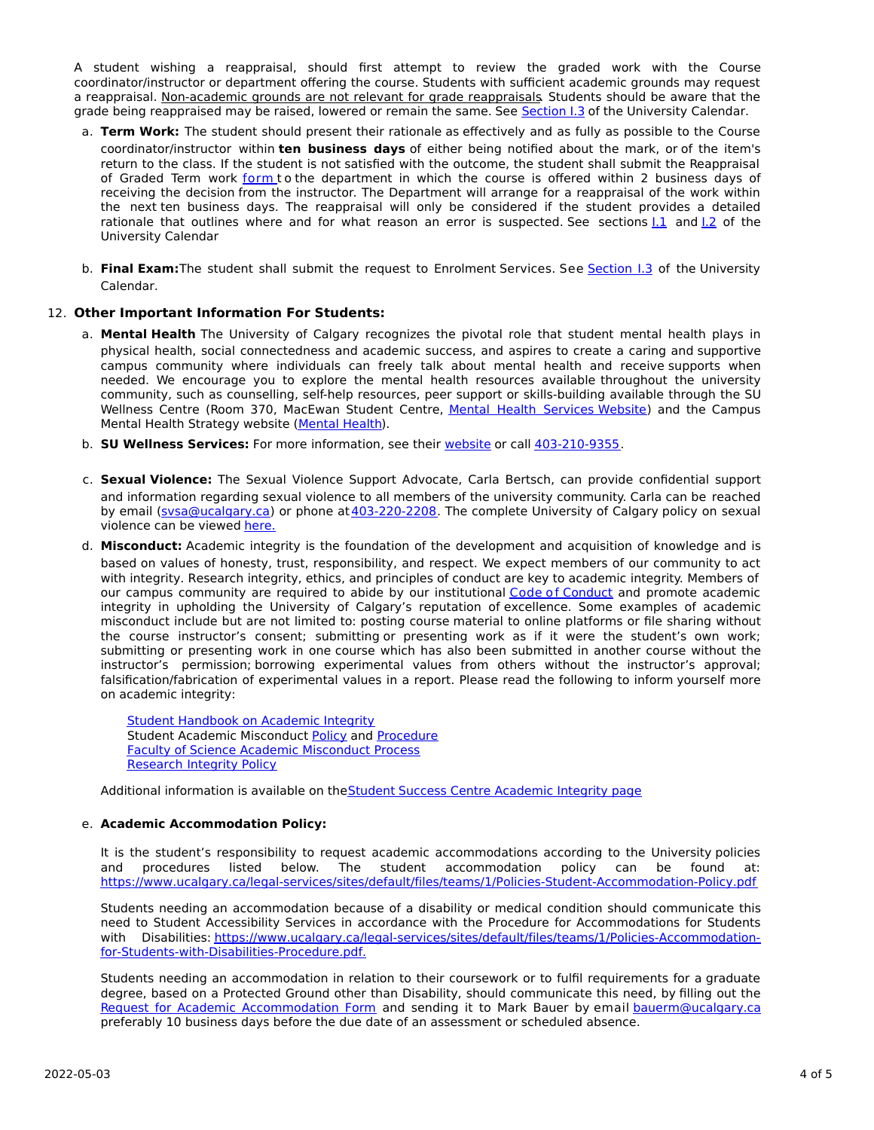A student wishing a reappraisal, should first attempt to review the graded work with the Course coordinator/instructor or department offering the course. Students with sufficient academic grounds may request a reappraisal. Non-academic grounds are not relevant for grade reappraisals. Students should be aware that the grade being reappraised may be raised, lowered or remain the same. See [Section](http://www.ucalgary.ca/pubs/calendar/current/i-3.html) I.3 of the University Calendar.

- a. **Term Work:** The student should present their rationale as effectively and as fully as possible to the Course coordinator/instructor within **ten business days** of either being notified about the mark, or of the item's return to the class. If the student is not satisfied with the outcome, the student shall submit the Reappraisal of Graded Term work [form](https://science.ucalgary.ca/sites/default/files/teams/1/Reappraisal_Termwork_2021.pdf) to the department in which the course is offered within 2 business days of receiving the decision from the instructor. The Department will arrange for a reappraisal of the work within the next ten business days. The reappraisal will only be considered if the student provides a detailed rationale that outlines where and for what reason an error is suspected. See sections [I.1](http://www.ucalgary.ca/pubs/calendar/current/i-1.html) and [I.2](http://www.ucalgary.ca/pubs/calendar/current/i-2.html) of the University Calendar
- b. **Final Exam:**The student shall submit the request to Enrolment Services. See [Section](http://www.ucalgary.ca/pubs/calendar/current/i-3.html) I.3 of the University Calendar.

## 12. **Other Important Information For Students:**

- a. **Mental Health** The University of Calgary recognizes the pivotal role that student mental health plays in physical health, social connectedness and academic success, and aspires to create a caring and supportive campus community where individuals can freely talk about mental health and receive supports when needed. We encourage you to explore the mental health resources available throughout the university community, such as counselling, self-help resources, peer support or skills-building available through the SU Wellness Centre (Room 370, MacEwan Student Centre, Mental Health [Services](https://www.ucalgary.ca/wellnesscentre/services/mental-health-services) Website) and the Campus Mental Health Strategy website [\(Mental](http://www.ucalgary.ca/mentalhealth) Health).
- b. **SU Wellness Services:** For more information, see their [website](http://www.ucalgary.ca/wellnesscentre) or call [403-210-9355](tel:4032109355).
- c. **Sexual Violence:** The Sexual Violence Support Advocate, Carla Bertsch, can provide confidential support and information regarding sexual violence to all members of the university community. Carla can be reached by email [\(svsa@ucalgary.ca](mailto:svsa@ucalgary.ca)) or phone at [403-220-2208](tel:4032202208). The complete University of Calgary policy on sexual violence can be viewed [here.](https://www.ucalgary.ca/legal-services/sites/default/files/teams/1/Policies-Sexual-and-Gender-Based-Violence-Policy.pdf)
- d. **Misconduct:** Academic integrity is the foundation of the development and acquisition of knowledge and is based on values of honesty, trust, responsibility, and respect. We expect members of our community to act with integrity. Research integrity, ethics, and principles of conduct are key to academic integrity. Members of our campus community are required to abide by our institutional Code of [Conduct](https://www.ucalgary.ca/legal-services/sites/default/files/teams/1/Policies-Code-of-Conduct.pdf) and promote academic integrity in upholding the University of Calgary's reputation of excellence. Some examples of academic misconduct include but are not limited to: posting course material to online platforms or file sharing without the course instructor's consent; submitting or presenting work as if it were the student's own work; submitting or presenting work in one course which has also been submitted in another course without the instructor's permission; borrowing experimental values from others without the instructor's approval; falsification/fabrication of experimental values in a report. Please read the following to inform yourself more on academic integrity:

**Student [Handbook](https://www.ucalgary.ca/live-uc-ucalgary-site/sites/default/files/teams/9/AI-Student-handbook-1.pdf) on Academic Integrity** Student Academic Misconduct [Policy](https://www.ucalgary.ca/legal-services/sites/default/files/teams/1/Policies-Student-Academic-Misconduct-Policy.pdf) and [Procedure](https://www.ucalgary.ca/legal-services/sites/default/files/teams/1/Policies-Student-Academic-Misconduct-Procedure.pdf) Faculty of Science Academic [Misconduct](https://science.ucalgary.ca/current-students/undergraduate/program-advising) Process [Research](https://www.ucalgary.ca/legal-services/sites/default/files/teams/1/Policies-Research-Integrity-Policy.pdf) Integrity Policy

Additional information is available on theStudent Success Centre [Academic](https://ucalgary.ca/student-services/student-success/learning/academic-integrity) Integrity page

## e. **Academic Accommodation Policy:**

It is the student's responsibility to request academic accommodations according to the University policies and procedures listed below. The student accommodation policy can be found at: <https://www.ucalgary.ca/legal-services/sites/default/files/teams/1/Policies-Student-Accommodation-Policy.pdf>

Students needing an accommodation because of a disability or medical condition should communicate this need to Student Accessibility Services in accordance with the Procedure for Accommodations for Students with Disabilities: [https://www.ucalgary.ca/legal-services/sites/default/files/teams/1/Policies-Accommodation](https://www.ucalgary.ca/legal-services/sites/default/files/teams/1/Policies-Accommodation-for-Students-with-Disabilities-Procedure.pdf)for-Students-with-Disabilities-Procedure.pdf.

Students needing an accommodation in relation to their coursework or to fulfil requirements for a graduate degree, based on a Protected Ground other than Disability, should communicate this need, by filling out the Request for Academic [Accommodation](https://science.ucalgary.ca/sites/default/files/teams/1/request-accommodation-academic-courses.pdf) Form and sending it to Mark Bauer by email [bauerm@ucalgary.ca](mailto:bauerm@ucalgary.ca) preferably 10 business days before the due date of an assessment or scheduled absence.